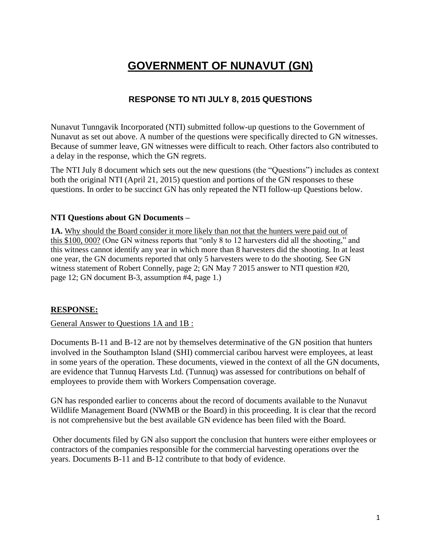# **GOVERNMENT OF NUNAVUT (GN)**

# **RESPONSE TO NTI JULY 8, 2015 QUESTIONS**

Nunavut Tunngavik Incorporated (NTI) submitted follow-up questions to the Government of Nunavut as set out above. A number of the questions were specifically directed to GN witnesses. Because of summer leave, GN witnesses were difficult to reach. Other factors also contributed to a delay in the response, which the GN regrets.

The NTI July 8 document which sets out the new questions (the "Questions") includes as context both the original NTI (April 21, 2015) question and portions of the GN responses to these questions. In order to be succinct GN has only repeated the NTI follow-up Questions below.

### **NTI Questions about GN Documents –**

1A. Why should the Board consider it more likely than not that the hunters were paid out of this \$100, 000? (One GN witness reports that "only 8 to 12 harvesters did all the shooting," and this witness cannot identify any year in which more than 8 harvesters did the shooting. In at least one year, the GN documents reported that only 5 harvesters were to do the shooting. See GN witness statement of Robert Connelly, page 2; GN May 7 2015 answer to NTI question #20, page 12; GN document B-3, assumption #4, page 1.)

### **RESPONSE:**

General Answer to Questions 1A and 1B :

Documents B-11 and B-12 are not by themselves determinative of the GN position that hunters involved in the Southampton Island (SHI) commercial caribou harvest were employees, at least in some years of the operation. These documents, viewed in the context of all the GN documents, are evidence that Tunnuq Harvests Ltd. (Tunnuq) was assessed for contributions on behalf of employees to provide them with Workers Compensation coverage.

GN has responded earlier to concerns about the record of documents available to the Nunavut Wildlife Management Board (NWMB or the Board) in this proceeding. It is clear that the record is not comprehensive but the best available GN evidence has been filed with the Board.

Other documents filed by GN also support the conclusion that hunters were either employees or contractors of the companies responsible for the commercial harvesting operations over the years. Documents B-11 and B-12 contribute to that body of evidence.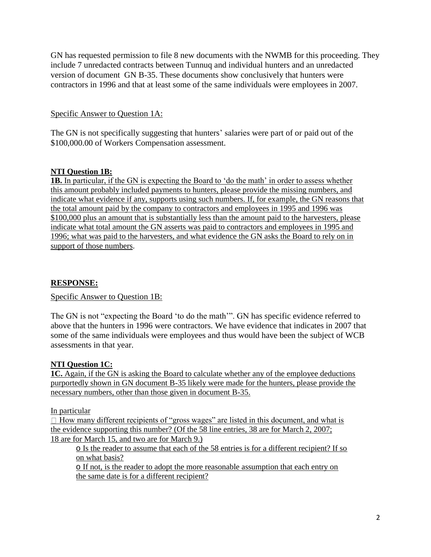GN has requested permission to file 8 new documents with the NWMB for this proceeding. They include 7 unredacted contracts between Tunnuq and individual hunters and an unredacted version of document GN B-35. These documents show conclusively that hunters were contractors in 1996 and that at least some of the same individuals were employees in 2007.

# Specific Answer to Question 1A:

The GN is not specifically suggesting that hunters' salaries were part of or paid out of the \$100,000.00 of Workers Compensation assessment.

# **NTI Question 1B:**

**1B.** In particular, if the GN is expecting the Board to 'do the math' in order to assess whether this amount probably included payments to hunters, please provide the missing numbers, and indicate what evidence if any, supports using such numbers. If, for example, the GN reasons that the total amount paid by the company to contractors and employees in 1995 and 1996 was \$100,000 plus an amount that is substantially less than the amount paid to the harvesters, please indicate what total amount the GN asserts was paid to contractors and employees in 1995 and 1996; what was paid to the harvesters, and what evidence the GN asks the Board to rely on in support of those numbers.

# **RESPONSE:**

Specific Answer to Question 1B:

The GN is not "expecting the Board 'to do the math'". GN has specific evidence referred to above that the hunters in 1996 were contractors. We have evidence that indicates in 2007 that some of the same individuals were employees and thus would have been the subject of WCB assessments in that year.

### **NTI Question 1C:**

**1C.** Again, if the GN is asking the Board to calculate whether any of the employee deductions purportedly shown in GN document B-35 likely were made for the hunters, please provide the necessary numbers, other than those given in document B-35.

### In particular

 $\Box$  How many different recipients of "gross wages" are listed in this document, and what is the evidence supporting this number? (Of the 58 line entries, 38 are for March 2, 2007; 18 are for March 15, and two are for March 9.)

o Is the reader to assume that each of the 58 entries is for a different recipient? If so on what basis?

o If not, is the reader to adopt the more reasonable assumption that each entry on the same date is for a different recipient?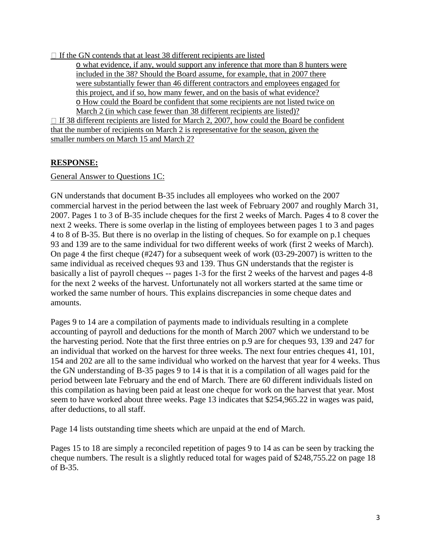$\Box$  If the GN contends that at least 38 different recipients are listed

o what evidence, if any, would support any inference that more than 8 hunters were included in the 38? Should the Board assume, for example, that in 2007 there were substantially fewer than 46 different contractors and employees engaged for this project, and if so, how many fewer, and on the basis of what evidence? o How could the Board be confident that some recipients are not listed twice on March 2 (in which case fewer than 38 different recipients are listed)?

 $\Box$  If 38 different recipients are listed for March 2, 2007, how could the Board be confident that the number of recipients on March 2 is representative for the season, given the smaller numbers on March 15 and March 2?

# **RESPONSE:**

General Answer to Questions 1C:

GN understands that document B-35 includes all employees who worked on the 2007 commercial harvest in the period between the last week of February 2007 and roughly March 31, 2007. Pages 1 to 3 of B-35 include cheques for the first 2 weeks of March. Pages 4 to 8 cover the next 2 weeks. There is some overlap in the listing of employees between pages 1 to 3 and pages 4 to 8 of B-35. But there is no overlap in the listing of cheques. So for example on p.1 cheques 93 and 139 are to the same individual for two different weeks of work (first 2 weeks of March). On page 4 the first cheque (#247) for a subsequent week of work (03-29-2007) is written to the same individual as received cheques 93 and 139. Thus GN understands that the register is basically a list of payroll cheques -- pages 1-3 for the first 2 weeks of the harvest and pages 4-8 for the next 2 weeks of the harvest. Unfortunately not all workers started at the same time or worked the same number of hours. This explains discrepancies in some cheque dates and amounts.

Pages 9 to 14 are a compilation of payments made to individuals resulting in a complete accounting of payroll and deductions for the month of March 2007 which we understand to be the harvesting period. Note that the first three entries on p.9 are for cheques 93, 139 and 247 for an individual that worked on the harvest for three weeks. The next four entries cheques 41, 101, 154 and 202 are all to the same individual who worked on the harvest that year for 4 weeks. Thus the GN understanding of B-35 pages 9 to 14 is that it is a compilation of all wages paid for the period between late February and the end of March. There are 60 different individuals listed on this compilation as having been paid at least one cheque for work on the harvest that year. Most seem to have worked about three weeks. Page 13 indicates that \$254,965.22 in wages was paid, after deductions, to all staff.

Page 14 lists outstanding time sheets which are unpaid at the end of March.

Pages 15 to 18 are simply a reconciled repetition of pages 9 to 14 as can be seen by tracking the cheque numbers. The result is a slightly reduced total for wages paid of \$248,755.22 on page 18 of B-35.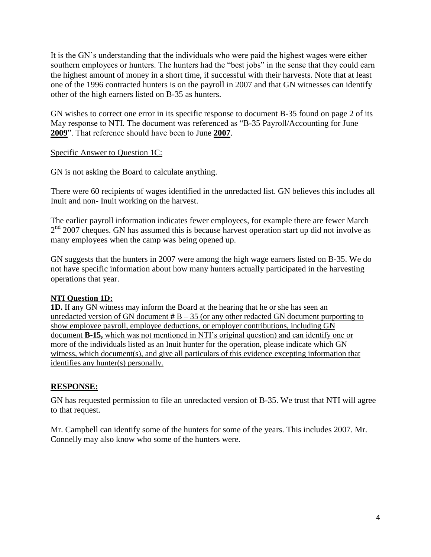It is the GN's understanding that the individuals who were paid the highest wages were either southern employees or hunters. The hunters had the "best jobs" in the sense that they could earn the highest amount of money in a short time, if successful with their harvests. Note that at least one of the 1996 contracted hunters is on the payroll in 2007 and that GN witnesses can identify other of the high earners listed on B-35 as hunters.

GN wishes to correct one error in its specific response to document B-35 found on page 2 of its May response to NTI. The document was referenced as "B-35 Payroll/Accounting for June **2009**". That reference should have been to June **2007**.

Specific Answer to Question 1C:

GN is not asking the Board to calculate anything.

There were 60 recipients of wages identified in the unredacted list. GN believes this includes all Inuit and non- Inuit working on the harvest.

The earlier payroll information indicates fewer employees, for example there are fewer March 2<sup>nd</sup> 2007 cheques. GN has assumed this is because harvest operation start up did not involve as many employees when the camp was being opened up.

GN suggests that the hunters in 2007 were among the high wage earners listed on B-35. We do not have specific information about how many hunters actually participated in the harvesting operations that year.

# **NTI Question 1D:**

**1D.** If any GN witness may inform the Board at the hearing that he or she has seen an unredacted version of GN document  $# B - 35$  (or any other redacted GN document purporting to show employee payroll, employee deductions, or employer contributions, including GN document **B-15,** which was not mentioned in NTI's original question) and can identify one or more of the individuals listed as an Inuit hunter for the operation, please indicate which GN witness, which document(s), and give all particulars of this evidence excepting information that identifies any hunter(s) personally.

# **RESPONSE:**

GN has requested permission to file an unredacted version of B-35. We trust that NTI will agree to that request.

Mr. Campbell can identify some of the hunters for some of the years. This includes 2007. Mr. Connelly may also know who some of the hunters were.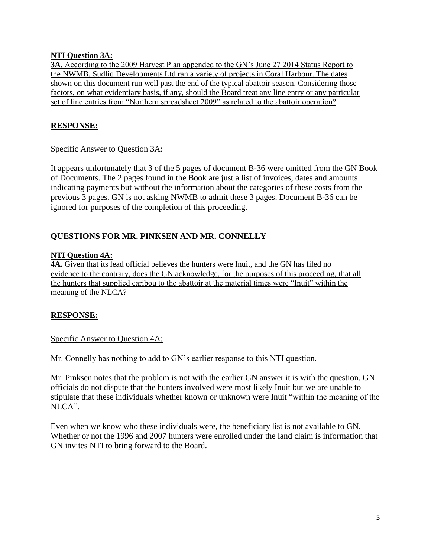### **NTI Question 3A:**

**3A**. According to the 2009 Harvest Plan appended to the GN's June 27 2014 Status Report to the NWMB, Sudliq Developments Ltd ran a variety of projects in Coral Harbour. The dates shown on this document run well past the end of the typical abattoir season. Considering those factors, on what evidentiary basis, if any, should the Board treat any line entry or any particular set of line entries from "Northern spreadsheet 2009" as related to the abattoir operation?

### **RESPONSE:**

### Specific Answer to Question 3A:

It appears unfortunately that 3 of the 5 pages of document B-36 were omitted from the GN Book of Documents. The 2 pages found in the Book are just a list of invoices, dates and amounts indicating payments but without the information about the categories of these costs from the previous 3 pages. GN is not asking NWMB to admit these 3 pages. Document B-36 can be ignored for purposes of the completion of this proceeding.

# **QUESTIONS FOR MR. PINKSEN AND MR. CONNELLY**

### **NTI Question 4A:**

**4A.** Given that its lead official believes the hunters were Inuit, and the GN has filed no evidence to the contrary, does the GN acknowledge, for the purposes of this proceeding, that all the hunters that supplied caribou to the abattoir at the material times were "Inuit" within the meaning of the NLCA?

### **RESPONSE:**

### Specific Answer to Question 4A:

Mr. Connelly has nothing to add to GN's earlier response to this NTI question.

Mr. Pinksen notes that the problem is not with the earlier GN answer it is with the question. GN officials do not dispute that the hunters involved were most likely Inuit but we are unable to stipulate that these individuals whether known or unknown were Inuit "within the meaning of the  $\overline{\text{NLCA}}$ ".

Even when we know who these individuals were, the beneficiary list is not available to GN. Whether or not the 1996 and 2007 hunters were enrolled under the land claim is information that GN invites NTI to bring forward to the Board.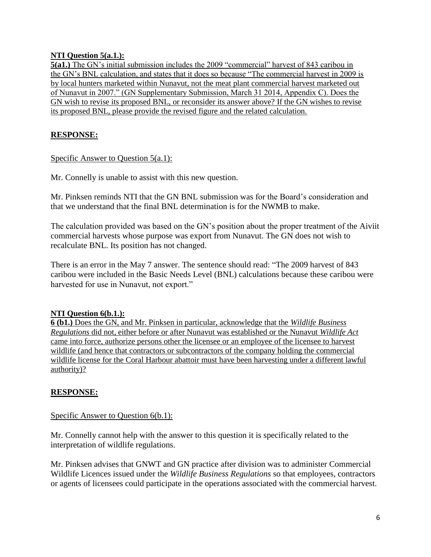### **NTI Question 5(a.1.):**

**5(a1.)** The GN's initial submission includes the 2009 "commercial" harvest of 843 caribou in the GN's BNL calculation, and states that it does so because "The commercial harvest in 2009 is by local hunters marketed within Nunavut, not the meat plant commercial harvest marketed out of Nunavut in 2007." (GN Supplementary Submission, March 31 2014, Appendix C). Does the GN wish to revise its proposed BNL, or reconsider its answer above? If the GN wishes to revise its proposed BNL, please provide the revised figure and the related calculation.

# **RESPONSE:**

### Specific Answer to Question 5(a.1):

Mr. Connelly is unable to assist with this new question.

Mr. Pinksen reminds NTI that the GN BNL submission was for the Board's consideration and that we understand that the final BNL determination is for the NWMB to make.

The calculation provided was based on the GN's position about the proper treatment of the Aiviit commercial harvests whose purpose was export from Nunavut. The GN does not wish to recalculate BNL. Its position has not changed.

There is an error in the May 7 answer. The sentence should read: "The 2009 harvest of 843 caribou were included in the Basic Needs Level (BNL) calculations because these caribou were harvested for use in Nunavut, not export."

### **NTI Question 6(b.1.):**

**6 (b1.)** Does the GN, and Mr. Pinksen in particular, acknowledge that the *Wildlife Business Regulations* did not, either before or after Nunavut was established or the Nunavut *Wildlife Act* came into force, authorize persons other the licensee or an employee of the licensee to harvest wildlife (and hence that contractors or subcontractors of the company holding the commercial wildlife license for the Coral Harbour abattoir must have been harvesting under a different lawful authority)?

# **RESPONSE:**

### Specific Answer to Question 6(b.1):

Mr. Connelly cannot help with the answer to this question it is specifically related to the interpretation of wildlife regulations.

Mr. Pinksen advises that GNWT and GN practice after division was to administer Commercial Wildlife Licences issued under the *Wildlife Business Regulations* so that employees, contractors or agents of licensees could participate in the operations associated with the commercial harvest.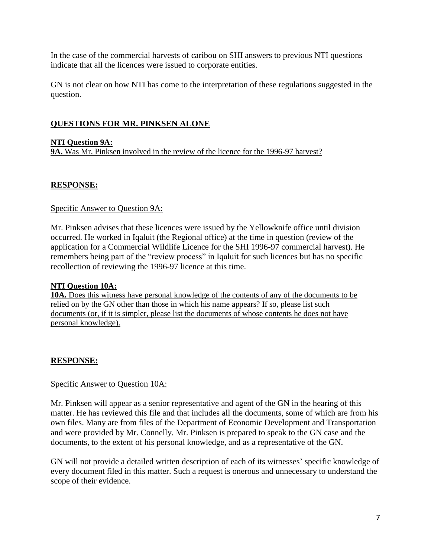In the case of the commercial harvests of caribou on SHI answers to previous NTI questions indicate that all the licences were issued to corporate entities.

GN is not clear on how NTI has come to the interpretation of these regulations suggested in the question.

# **QUESTIONS FOR MR. PINKSEN ALONE**

### **NTI Question 9A:**

**9A.** Was Mr. Pinksen involved in the review of the licence for the 1996-97 harvest?

### **RESPONSE:**

### Specific Answer to Question 9A:

Mr. Pinksen advises that these licences were issued by the Yellowknife office until division occurred. He worked in Iqaluit (the Regional office) at the time in question (review of the application for a Commercial Wildlife Licence for the SHI 1996-97 commercial harvest). He remembers being part of the "review process" in Iqaluit for such licences but has no specific recollection of reviewing the 1996-97 licence at this time.

### **NTI Question 10A:**

**10A.** Does this witness have personal knowledge of the contents of any of the documents to be relied on by the GN other than those in which his name appears? If so, please list such documents (or, if it is simpler, please list the documents of whose contents he does not have personal knowledge).

### **RESPONSE:**

### Specific Answer to Question 10A:

Mr. Pinksen will appear as a senior representative and agent of the GN in the hearing of this matter. He has reviewed this file and that includes all the documents, some of which are from his own files. Many are from files of the Department of Economic Development and Transportation and were provided by Mr. Connelly. Mr. Pinksen is prepared to speak to the GN case and the documents, to the extent of his personal knowledge, and as a representative of the GN.

GN will not provide a detailed written description of each of its witnesses' specific knowledge of every document filed in this matter. Such a request is onerous and unnecessary to understand the scope of their evidence.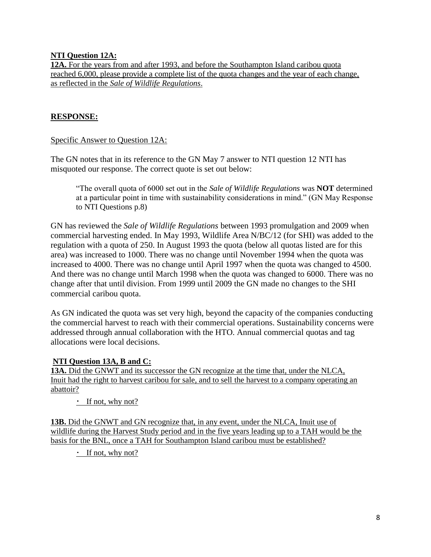### **NTI Question 12A:**

**12A.** For the years from and after 1993, and before the Southampton Island caribou quota reached 6,000, please provide a complete list of the quota changes and the year of each change, as reflected in the *Sale of Wildlife Regulations*.

# **RESPONSE:**

### Specific Answer to Question 12A:

The GN notes that in its reference to the GN May 7 answer to NTI question 12 NTI has misquoted our response. The correct quote is set out below:

"The overall quota of 6000 set out in the *Sale of Wildlife Regulations* was **NOT** determined at a particular point in time with sustainability considerations in mind." (GN May Response to NTI Questions p.8)

GN has reviewed the *Sale of Wildlife Regulations* between 1993 promulgation and 2009 when commercial harvesting ended. In May 1993, Wildlife Area N/BC/12 (for SHI) was added to the regulation with a quota of 250. In August 1993 the quota (below all quotas listed are for this area) was increased to 1000. There was no change until November 1994 when the quota was increased to 4000. There was no change until April 1997 when the quota was changed to 4500. And there was no change until March 1998 when the quota was changed to 6000. There was no change after that until division. From 1999 until 2009 the GN made no changes to the SHI commercial caribou quota.

As GN indicated the quota was set very high, beyond the capacity of the companies conducting the commercial harvest to reach with their commercial operations. Sustainability concerns were addressed through annual collaboration with the HTO. Annual commercial quotas and tag allocations were local decisions.

### **NTI Question 13A, B and C:**

**13A.** Did the GNWT and its successor the GN recognize at the time that, under the NLCA, Inuit had the right to harvest caribou for sale, and to sell the harvest to a company operating an abattoir?

 $\cdot$  If not, why not?

**13B.** Did the GNWT and GN recognize that, in any event, under the NLCA, Inuit use of wildlife during the Harvest Study period and in the five years leading up to a TAH would be the basis for the BNL, once a TAH for Southampton Island caribou must be established?

 $\cdot$  If not, why not?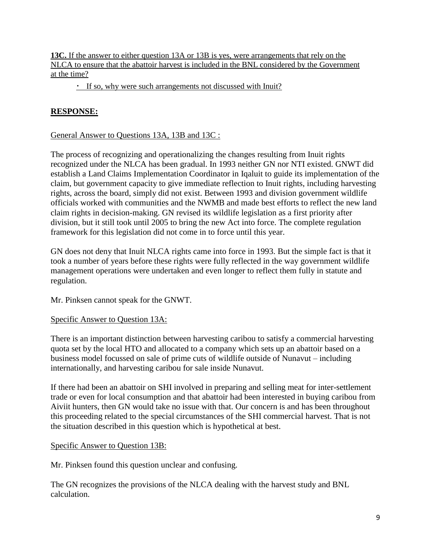**13C.** If the answer to either question 13A or 13B is yes, were arrangements that rely on the NLCA to ensure that the abattoir harvest is included in the BNL considered by the Government at the time?

If so, why were such arrangements not discussed with Inuit?

# **RESPONSE:**

### General Answer to Questions 13A, 13B and 13C :

The process of recognizing and operationalizing the changes resulting from Inuit rights recognized under the NLCA has been gradual. In 1993 neither GN nor NTI existed. GNWT did establish a Land Claims Implementation Coordinator in Iqaluit to guide its implementation of the claim, but government capacity to give immediate reflection to Inuit rights, including harvesting rights, across the board, simply did not exist. Between 1993 and division government wildlife officials worked with communities and the NWMB and made best efforts to reflect the new land claim rights in decision-making. GN revised its wildlife legislation as a first priority after division, but it still took until 2005 to bring the new Act into force. The complete regulation framework for this legislation did not come in to force until this year.

GN does not deny that Inuit NLCA rights came into force in 1993. But the simple fact is that it took a number of years before these rights were fully reflected in the way government wildlife management operations were undertaken and even longer to reflect them fully in statute and regulation.

Mr. Pinksen cannot speak for the GNWT.

### Specific Answer to Question 13A:

There is an important distinction between harvesting caribou to satisfy a commercial harvesting quota set by the local HTO and allocated to a company which sets up an abattoir based on a business model focussed on sale of prime cuts of wildlife outside of Nunavut – including internationally, and harvesting caribou for sale inside Nunavut.

If there had been an abattoir on SHI involved in preparing and selling meat for inter-settlement trade or even for local consumption and that abattoir had been interested in buying caribou from Aiviit hunters, then GN would take no issue with that. Our concern is and has been throughout this proceeding related to the special circumstances of the SHI commercial harvest. That is not the situation described in this question which is hypothetical at best.

### Specific Answer to Question 13B:

Mr. Pinksen found this question unclear and confusing.

The GN recognizes the provisions of the NLCA dealing with the harvest study and BNL calculation.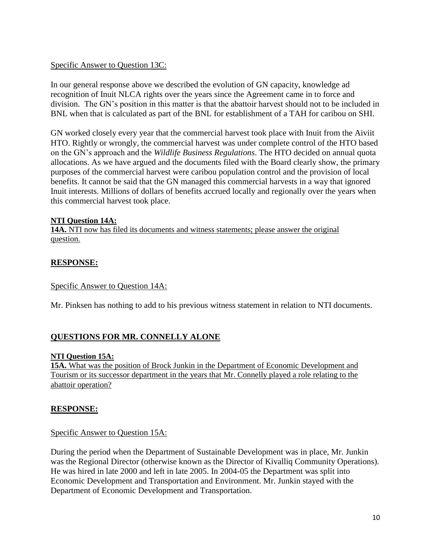### Specific Answer to Question 13C:

In our general response above we described the evolution of GN capacity, knowledge ad recognition of Inuit NLCA rights over the years since the Agreement came in to force and division. The GN's position in this matter is that the abattoir harvest should not to be included in BNL when that is calculated as part of the BNL for establishment of a TAH for caribou on SHI.

GN worked closely every year that the commercial harvest took place with Inuit from the Aiviit HTO. Rightly or wrongly, the commercial harvest was under complete control of the HTO based on the GN's approach and the *Wildlife Business Regulations*. The HTO decided on annual quota allocations. As we have argued and the documents filed with the Board clearly show, the primary purposes of the commercial harvest were caribou population control and the provision of local benefits. It cannot be said that the GN managed this commercial harvests in a way that ignored Inuit interests. Millions of dollars of benefits accrued locally and regionally over the years when this commercial harvest took place.

### **NTI Question 14A:**

**14A.** NTI now has filed its documents and witness statements; please answer the original question.

### **RESPONSE:**

### Specific Answer to Question 14A:

Mr. Pinksen has nothing to add to his previous witness statement in relation to NTI documents.

### **QUESTIONS FOR MR. CONNELLY ALONE**

### **NTI Question 15A:**

**15A.** What was the position of Brock Junkin in the Department of Economic Development and Tourism or its successor department in the years that Mr. Connelly played a role relating to the abattoir operation?

### **RESPONSE:**

### Specific Answer to Question 15A:

During the period when the Department of Sustainable Development was in place, Mr. Junkin was the Regional Director (otherwise known as the Director of Kivalliq Community Operations). He was hired in late 2000 and left in late 2005. In 2004-05 the Department was split into Economic Development and Transportation and Environment. Mr. Junkin stayed with the Department of Economic Development and Transportation.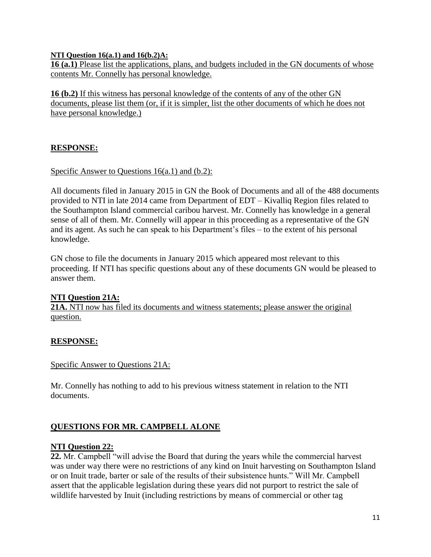### **NTI Question 16(a.1) and 16(b.2)A:**

**16 (a.1)** Please list the applications, plans, and budgets included in the GN documents of whose contents Mr. Connelly has personal knowledge.

**16 (b.2)** If this witness has personal knowledge of the contents of any of the other GN documents, please list them (or, if it is simpler, list the other documents of which he does not have personal knowledge.)

# **RESPONSE:**

### Specific Answer to Questions 16(a.1) and (b.2):

All documents filed in January 2015 in GN the Book of Documents and all of the 488 documents provided to NTI in late 2014 came from Department of EDT – Kivalliq Region files related to the Southampton Island commercial caribou harvest. Mr. Connelly has knowledge in a general sense of all of them. Mr. Connelly will appear in this proceeding as a representative of the GN and its agent. As such he can speak to his Department's files – to the extent of his personal knowledge.

GN chose to file the documents in January 2015 which appeared most relevant to this proceeding. If NTI has specific questions about any of these documents GN would be pleased to answer them.

### **NTI Question 21A:**

**21A.** NTI now has filed its documents and witness statements; please answer the original question.

### **RESPONSE:**

### Specific Answer to Questions 21A:

Mr. Connelly has nothing to add to his previous witness statement in relation to the NTI documents.

### **QUESTIONS FOR MR. CAMPBELL ALONE**

### **NTI Question 22:**

**22.** Mr. Campbell "will advise the Board that during the years while the commercial harvest was under way there were no restrictions of any kind on Inuit harvesting on Southampton Island or on Inuit trade, barter or sale of the results of their subsistence hunts." Will Mr. Campbell assert that the applicable legislation during these years did not purport to restrict the sale of wildlife harvested by Inuit (including restrictions by means of commercial or other tag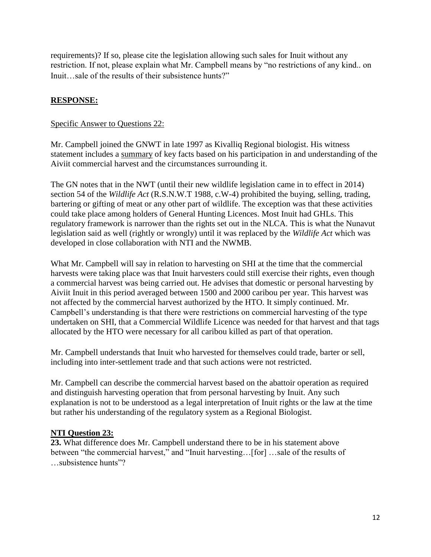requirements)? If so, please cite the legislation allowing such sales for Inuit without any restriction. If not, please explain what Mr. Campbell means by "no restrictions of any kind.. on Inuit…sale of the results of their subsistence hunts?"

# **RESPONSE:**

### Specific Answer to Questions 22:

Mr. Campbell joined the GNWT in late 1997 as Kivalliq Regional biologist. His witness statement includes a summary of key facts based on his participation in and understanding of the Aiviit commercial harvest and the circumstances surrounding it.

The GN notes that in the NWT (until their new wildlife legislation came in to effect in 2014) section 54 of the *Wildlife Act* (R.S.N.W.T 1988, c.W-4) prohibited the buying, selling, trading, bartering or gifting of meat or any other part of wildlife. The exception was that these activities could take place among holders of General Hunting Licences. Most Inuit had GHLs. This regulatory framework is narrower than the rights set out in the NLCA. This is what the Nunavut legislation said as well (rightly or wrongly) until it was replaced by the *Wildlife Act* which was developed in close collaboration with NTI and the NWMB.

What Mr. Campbell will say in relation to harvesting on SHI at the time that the commercial harvests were taking place was that Inuit harvesters could still exercise their rights, even though a commercial harvest was being carried out. He advises that domestic or personal harvesting by Aiviit Inuit in this period averaged between 1500 and 2000 caribou per year. This harvest was not affected by the commercial harvest authorized by the HTO. It simply continued. Mr. Campbell's understanding is that there were restrictions on commercial harvesting of the type undertaken on SHI, that a Commercial Wildlife Licence was needed for that harvest and that tags allocated by the HTO were necessary for all caribou killed as part of that operation.

Mr. Campbell understands that Inuit who harvested for themselves could trade, barter or sell, including into inter-settlement trade and that such actions were not restricted.

Mr. Campbell can describe the commercial harvest based on the abattoir operation as required and distinguish harvesting operation that from personal harvesting by Inuit. Any such explanation is not to be understood as a legal interpretation of Inuit rights or the law at the time but rather his understanding of the regulatory system as a Regional Biologist.

### **NTI Question 23:**

**23.** What difference does Mr. Campbell understand there to be in his statement above between "the commercial harvest," and "Inuit harvesting…[for] …sale of the results of …subsistence hunts"?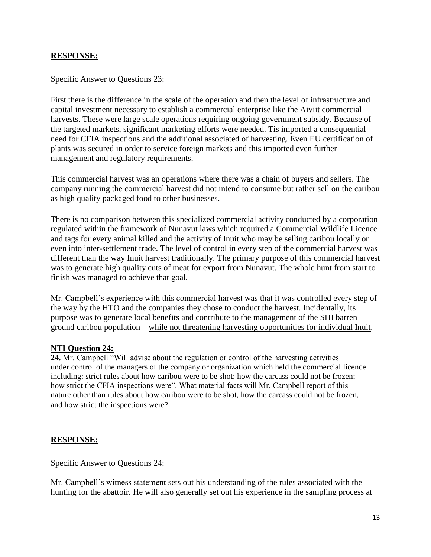### **RESPONSE:**

### Specific Answer to Questions 23:

First there is the difference in the scale of the operation and then the level of infrastructure and capital investment necessary to establish a commercial enterprise like the Aiviit commercial harvests. These were large scale operations requiring ongoing government subsidy. Because of the targeted markets, significant marketing efforts were needed. Tis imported a consequential need for CFIA inspections and the additional associated of harvesting. Even EU certification of plants was secured in order to service foreign markets and this imported even further management and regulatory requirements.

This commercial harvest was an operations where there was a chain of buyers and sellers. The company running the commercial harvest did not intend to consume but rather sell on the caribou as high quality packaged food to other businesses.

There is no comparison between this specialized commercial activity conducted by a corporation regulated within the framework of Nunavut laws which required a Commercial Wildlife Licence and tags for every animal killed and the activity of Inuit who may be selling caribou locally or even into inter-settlement trade. The level of control in every step of the commercial harvest was different than the way Inuit harvest traditionally. The primary purpose of this commercial harvest was to generate high quality cuts of meat for export from Nunavut. The whole hunt from start to finish was managed to achieve that goal.

Mr. Campbell's experience with this commercial harvest was that it was controlled every step of the way by the HTO and the companies they chose to conduct the harvest. Incidentally, its purpose was to generate local benefits and contribute to the management of the SHI barren ground caribou population – while not threatening harvesting opportunities for individual Inuit.

### **NTI Question 24:**

**24.** Mr. Campbell "Will advise about the regulation or control of the harvesting activities under control of the managers of the company or organization which held the commercial licence including: strict rules about how caribou were to be shot; how the carcass could not be frozen; how strict the CFIA inspections were". What material facts will Mr. Campbell report of this nature other than rules about how caribou were to be shot, how the carcass could not be frozen, and how strict the inspections were?

### **RESPONSE:**

### Specific Answer to Questions 24:

Mr. Campbell's witness statement sets out his understanding of the rules associated with the hunting for the abattoir. He will also generally set out his experience in the sampling process at